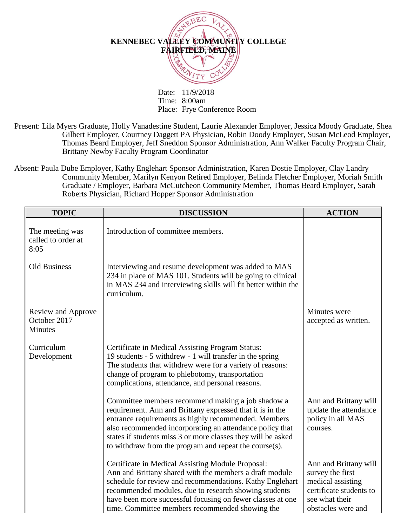

Date: 11/9/2018 Time: 8:00am Place: Frye Conference Room

- Present: Lila Myers Graduate, Holly Vanadestine Student, Laurie Alexander Employer, Jessica Moody Graduate, Shea Gilbert Employer, Courtney Daggett PA Physician, Robin Doody Employer, Susan McLeod Employer, Thomas Beard Employer, Jeff Sneddon Sponsor Administration, Ann Walker Faculty Program Chair, Brittany Newby Faculty Program Coordinator
- Absent: Paula Dube Employer, Kathy Englehart Sponsor Administration, Karen Dostie Employer, Clay Landry Community Member, Marilyn Kenyon Retired Employer, Belinda Fletcher Employer, Moriah Smith Graduate / Employer, Barbara McCutcheon Community Member, Thomas Beard Employer, Sarah Roberts Physician, Richard Hopper Sponsor Administration

| <b>TOPIC</b>                                         | <b>DISCUSSION</b>                                                                                                                                                                                                                                                                                                                                            | <b>ACTION</b>                                                                                                                     |
|------------------------------------------------------|--------------------------------------------------------------------------------------------------------------------------------------------------------------------------------------------------------------------------------------------------------------------------------------------------------------------------------------------------------------|-----------------------------------------------------------------------------------------------------------------------------------|
| The meeting was<br>called to order at<br>8:05        | Introduction of committee members.                                                                                                                                                                                                                                                                                                                           |                                                                                                                                   |
| <b>Old Business</b>                                  | Interviewing and resume development was added to MAS<br>234 in place of MAS 101. Students will be going to clinical<br>in MAS 234 and interviewing skills will fit better within the<br>curriculum.                                                                                                                                                          |                                                                                                                                   |
| Review and Approve<br>October 2017<br><b>Minutes</b> |                                                                                                                                                                                                                                                                                                                                                              | Minutes were<br>accepted as written.                                                                                              |
| Curriculum<br>Development                            | Certificate in Medical Assisting Program Status:<br>19 students - 5 withdrew - 1 will transfer in the spring<br>The students that withdrew were for a variety of reasons:<br>change of program to phlebotomy, transportation<br>complications, attendance, and personal reasons.                                                                             |                                                                                                                                   |
|                                                      | Committee members recommend making a job shadow a<br>requirement. Ann and Brittany expressed that it is in the<br>entrance requirements as highly recommended. Members<br>also recommended incorporating an attendance policy that<br>states if students miss 3 or more classes they will be asked<br>to withdraw from the program and repeat the course(s). | Ann and Brittany will<br>update the attendance<br>policy in all MAS<br>courses.                                                   |
|                                                      | Certificate in Medical Assisting Module Proposal:<br>Ann and Brittany shared with the members a draft module<br>schedule for review and recommendations. Kathy Englehart<br>recommended modules, due to research showing students<br>have been more successful focusing on fewer classes at one<br>time. Committee members recommended showing the           | Ann and Brittany will<br>survey the first<br>medical assisting<br>certificate students to<br>see what their<br>obstacles were and |